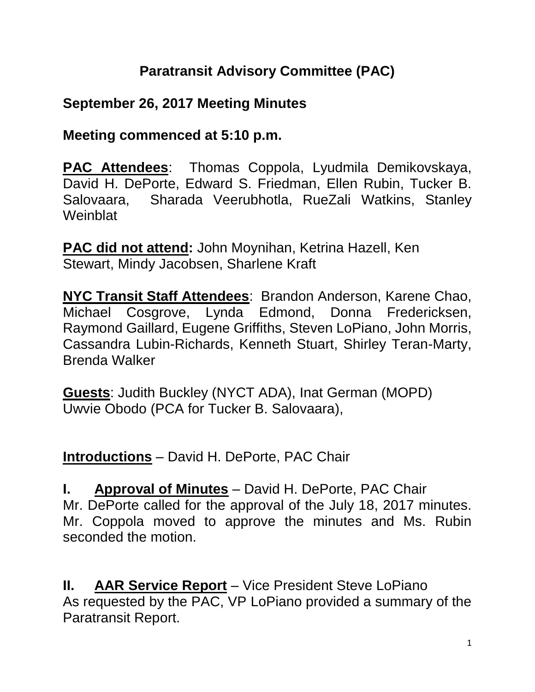# **Paratransit Advisory Committee (PAC)**

# **September 26, 2017 Meeting Minutes**

**Meeting commenced at 5:10 p.m.**

**PAC Attendees**: Thomas Coppola, Lyudmila Demikovskaya, David H. DePorte, Edward S. Friedman, Ellen Rubin, Tucker B. Salovaara, Sharada Veerubhotla, RueZali Watkins, Stanley **Weinblat** 

**PAC did not attend:** John Moynihan, Ketrina Hazell, Ken Stewart, Mindy Jacobsen, Sharlene Kraft

**NYC Transit Staff Attendees**: Brandon Anderson, Karene Chao, Michael Cosgrove, Lynda Edmond, Donna Fredericksen, Raymond Gaillard, Eugene Griffiths, Steven LoPiano, John Morris, Cassandra Lubin-Richards, Kenneth Stuart, Shirley Teran-Marty, Brenda Walker

**Guests**: Judith Buckley (NYCT ADA), Inat German (MOPD) Uwvie Obodo (PCA for Tucker B. Salovaara),

**Introductions** – David H. DePorte, PAC Chair

**I. Approval of Minutes** – David H. DePorte, PAC Chair Mr. DePorte called for the approval of the July 18, 2017 minutes. Mr. Coppola moved to approve the minutes and Ms. Rubin seconded the motion.

**II. AAR Service Report** – Vice President Steve LoPiano As requested by the PAC, VP LoPiano provided a summary of the Paratransit Report.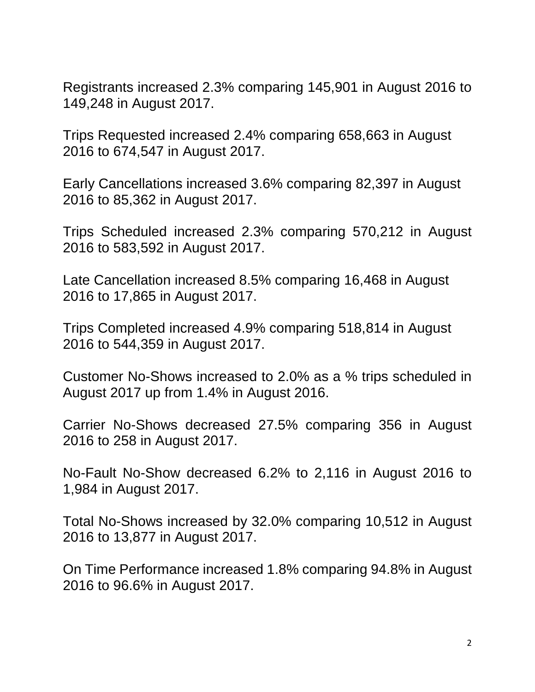Registrants increased 2.3% comparing 145,901 in August 2016 to 149,248 in August 2017.

Trips Requested increased 2.4% comparing 658,663 in August 2016 to 674,547 in August 2017.

Early Cancellations increased 3.6% comparing 82,397 in August 2016 to 85,362 in August 2017.

Trips Scheduled increased 2.3% comparing 570,212 in August 2016 to 583,592 in August 2017.

Late Cancellation increased 8.5% comparing 16,468 in August 2016 to 17,865 in August 2017.

Trips Completed increased 4.9% comparing 518,814 in August 2016 to 544,359 in August 2017.

Customer No-Shows increased to 2.0% as a % trips scheduled in August 2017 up from 1.4% in August 2016.

Carrier No-Shows decreased 27.5% comparing 356 in August 2016 to 258 in August 2017.

No-Fault No-Show decreased 6.2% to 2,116 in August 2016 to 1,984 in August 2017.

Total No-Shows increased by 32.0% comparing 10,512 in August 2016 to 13,877 in August 2017.

On Time Performance increased 1.8% comparing 94.8% in August 2016 to 96.6% in August 2017.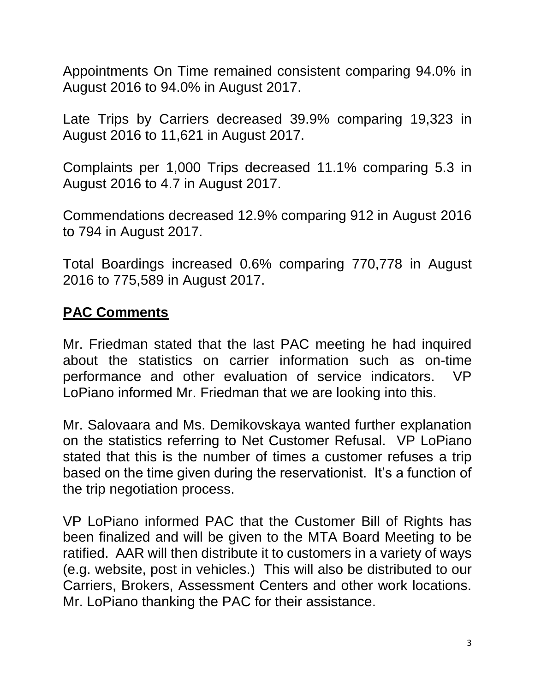Appointments On Time remained consistent comparing 94.0% in August 2016 to 94.0% in August 2017.

Late Trips by Carriers decreased 39.9% comparing 19,323 in August 2016 to 11,621 in August 2017.

Complaints per 1,000 Trips decreased 11.1% comparing 5.3 in August 2016 to 4.7 in August 2017.

Commendations decreased 12.9% comparing 912 in August 2016 to 794 in August 2017.

Total Boardings increased 0.6% comparing 770,778 in August 2016 to 775,589 in August 2017.

#### **PAC Comments**

Mr. Friedman stated that the last PAC meeting he had inquired about the statistics on carrier information such as on-time performance and other evaluation of service indicators. VP LoPiano informed Mr. Friedman that we are looking into this.

Mr. Salovaara and Ms. Demikovskaya wanted further explanation on the statistics referring to Net Customer Refusal. VP LoPiano stated that this is the number of times a customer refuses a trip based on the time given during the reservationist. It's a function of the trip negotiation process.

VP LoPiano informed PAC that the Customer Bill of Rights has been finalized and will be given to the MTA Board Meeting to be ratified. AAR will then distribute it to customers in a variety of ways (e.g. website, post in vehicles.) This will also be distributed to our Carriers, Brokers, Assessment Centers and other work locations. Mr. LoPiano thanking the PAC for their assistance.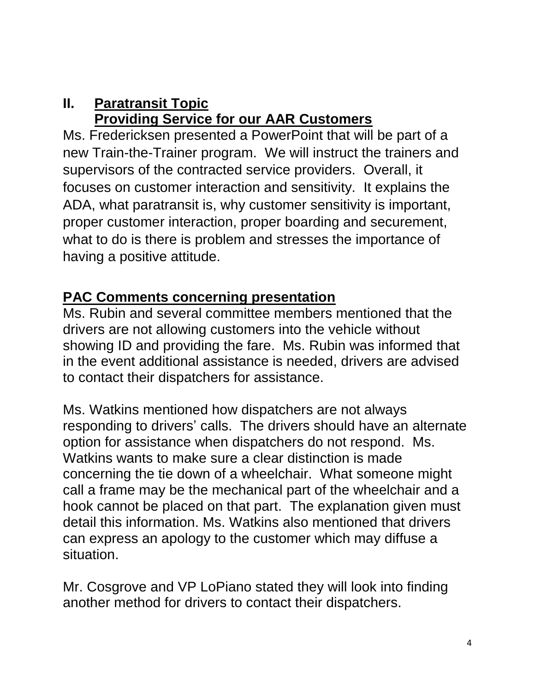## **II. Paratransit Topic Providing Service for our AAR Customers**

Ms. Fredericksen presented a PowerPoint that will be part of a new Train-the-Trainer program. We will instruct the trainers and supervisors of the contracted service providers. Overall, it focuses on customer interaction and sensitivity. It explains the ADA, what paratransit is, why customer sensitivity is important, proper customer interaction, proper boarding and securement, what to do is there is problem and stresses the importance of having a positive attitude.

## **PAC Comments concerning presentation**

Ms. Rubin and several committee members mentioned that the drivers are not allowing customers into the vehicle without showing ID and providing the fare. Ms. Rubin was informed that in the event additional assistance is needed, drivers are advised to contact their dispatchers for assistance.

Ms. Watkins mentioned how dispatchers are not always responding to drivers' calls. The drivers should have an alternate option for assistance when dispatchers do not respond. Ms. Watkins wants to make sure a clear distinction is made concerning the tie down of a wheelchair. What someone might call a frame may be the mechanical part of the wheelchair and a hook cannot be placed on that part. The explanation given must detail this information. Ms. Watkins also mentioned that drivers can express an apology to the customer which may diffuse a situation.

Mr. Cosgrove and VP LoPiano stated they will look into finding another method for drivers to contact their dispatchers.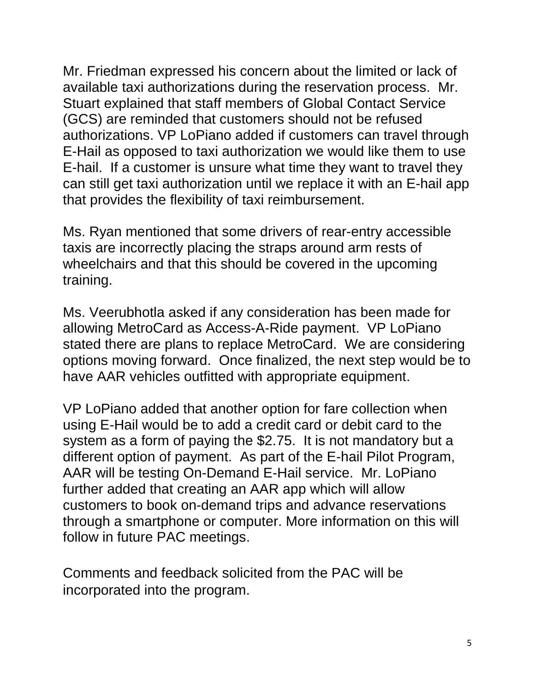Mr. Friedman expressed his concern about the limited or lack of available taxi authorizations during the reservation process. Mr. Stuart explained that staff members of Global Contact Service (GCS) are reminded that customers should not be refused authorizations. VP LoPiano added if customers can travel through E-Hail as opposed to taxi authorization we would like them to use E-hail. If a customer is unsure what time they want to travel they can still get taxi authorization until we replace it with an E-hail app that provides the flexibility of taxi reimbursement.

Ms. Ryan mentioned that some drivers of rear-entry accessible taxis are incorrectly placing the straps around arm rests of wheelchairs and that this should be covered in the upcoming training.

Ms. Veerubhotla asked if any consideration has been made for allowing MetroCard as Access-A-Ride payment. VP LoPiano stated there are plans to replace MetroCard. We are considering options moving forward. Once finalized, the next step would be to have AAR vehicles outfitted with appropriate equipment.

VP LoPiano added that another option for fare collection when using E-Hail would be to add a credit card or debit card to the system as a form of paying the \$2.75. It is not mandatory but a different option of payment. As part of the E-hail Pilot Program, AAR will be testing On-Demand E-Hail service. Mr. LoPiano further added that creating an AAR app which will allow customers to book on-demand trips and advance reservations through a smartphone or computer. More information on this will follow in future PAC meetings.

Comments and feedback solicited from the PAC will be incorporated into the program.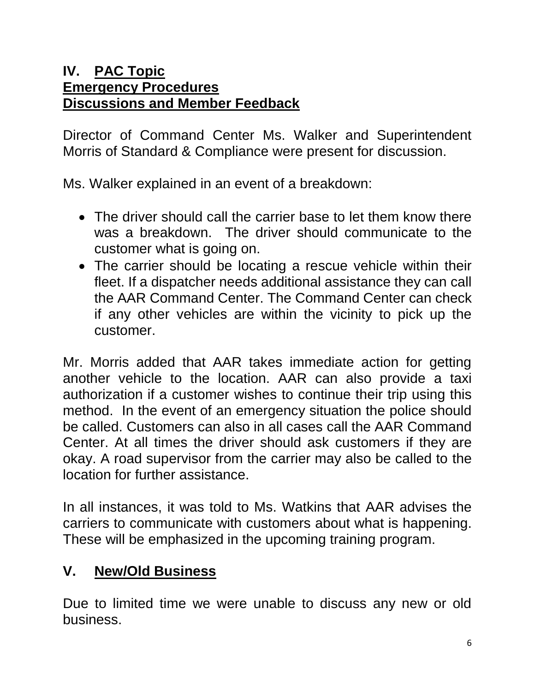#### **IV. PAC Topic Emergency Procedures Discussions and Member Feedback**

Director of Command Center Ms. Walker and Superintendent Morris of Standard & Compliance were present for discussion.

Ms. Walker explained in an event of a breakdown:

- The driver should call the carrier base to let them know there was a breakdown. The driver should communicate to the customer what is going on.
- The carrier should be locating a rescue vehicle within their fleet. If a dispatcher needs additional assistance they can call the AAR Command Center. The Command Center can check if any other vehicles are within the vicinity to pick up the customer.

Mr. Morris added that AAR takes immediate action for getting another vehicle to the location. AAR can also provide a taxi authorization if a customer wishes to continue their trip using this method. In the event of an emergency situation the police should be called. Customers can also in all cases call the AAR Command Center. At all times the driver should ask customers if they are okay. A road supervisor from the carrier may also be called to the location for further assistance.

In all instances, it was told to Ms. Watkins that AAR advises the carriers to communicate with customers about what is happening. These will be emphasized in the upcoming training program.

# **V. New/Old Business**

Due to limited time we were unable to discuss any new or old business.